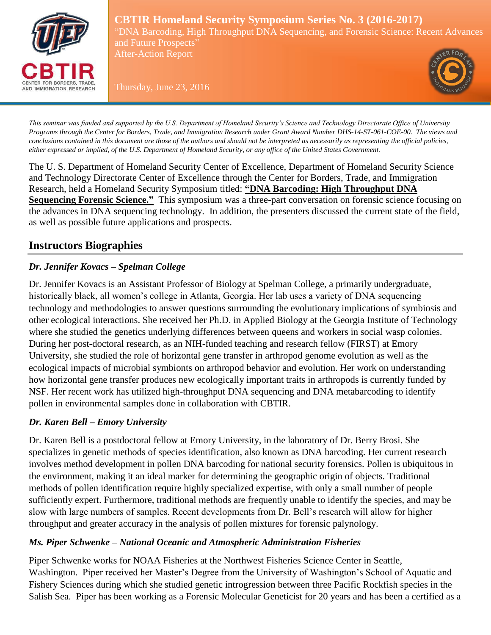

**CBTIR Homeland Security Symposium Series No. 3 (2016-2017)** "DNA Barcoding, High Throughput DNA Sequencing, and Forensic Science: Recent Advances and Future Prospects" After-Action Report

Thursday, June 23, 2016



*This seminar was funded and supported by the U.S. Department of Homeland Security's Science and Technology Directorate Office of University Programs through the Center for Borders, Trade, and Immigration Research under Grant Award Number DHS-14-ST-061-COE-00. The views and conclusions contained in this document are those of the authors and should not be interpreted as necessarily as representing the official policies, either expressed or implied, of the U.S. Department of Homeland Security, or any office of the United States Government.*

The U. S. Department of Homeland Security Center of Excellence, Department of Homeland Security Science and Technology Directorate Center of Excellence through the Center for Borders, Trade, and Immigration Research, held a Homeland Security Symposium titled: **"DNA Barcoding: High Throughput DNA Sequencing Forensic Science."** This symposium was a three-part conversation on forensic science focusing on the advances in DNA sequencing technology. In addition, the presenters discussed the current state of the field, as well as possible future applications and prospects.

# **Instructors Biographies**

### *Dr. Jennifer Kovacs – Spelman College*

Dr. Jennifer Kovacs is an Assistant Professor of Biology at Spelman College, a primarily undergraduate, historically black, all women's college in Atlanta, Georgia. Her lab uses a variety of DNA sequencing technology and methodologies to answer questions surrounding the evolutionary implications of symbiosis and other ecological interactions. She received her Ph.D. in Applied Biology at the Georgia Institute of Technology where she studied the genetics underlying differences between queens and workers in social wasp colonies. During her post-doctoral research, as an NIH-funded teaching and research fellow (FIRST) at Emory University, she studied the role of horizontal gene transfer in arthropod genome evolution as well as the ecological impacts of microbial symbionts on arthropod behavior and evolution. Her work on understanding how horizontal gene transfer produces new ecologically important traits in arthropods is currently funded by NSF. Her recent work has utilized high-throughput DNA sequencing and DNA metabarcoding to identify pollen in environmental samples done in collaboration with CBTIR.

### *Dr. Karen Bell – Emory University*

Dr. Karen Bell is a postdoctoral fellow at Emory University, in the laboratory of Dr. Berry Brosi. She specializes in genetic methods of species identification, also known as DNA barcoding. Her current research involves method development in pollen DNA barcoding for national security forensics. Pollen is ubiquitous in the environment, making it an ideal marker for determining the geographic origin of objects. Traditional methods of pollen identification require highly specialized expertise, with only a small number of people sufficiently expert. Furthermore, traditional methods are frequently unable to identify the species, and may be slow with large numbers of samples. Recent developments from Dr. Bell's research will allow for higher throughput and greater accuracy in the analysis of pollen mixtures for forensic palynology.

### *Ms. Piper Schwenke – National Oceanic and Atmospheric Administration Fisheries*

Piper Schwenke works for NOAA Fisheries at the Northwest Fisheries Science Center in Seattle, Washington. Piper received her Master's Degree from the University of Washington's School of Aquatic and Fishery Sciences during which she studied genetic introgression between three Pacific Rockfish species in the Salish Sea. Piper has been working as a Forensic Molecular Geneticist for 20 years and has been a certified as a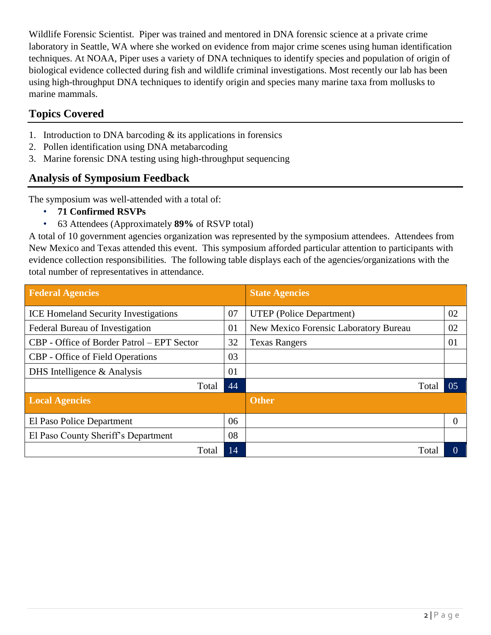Wildlife Forensic Scientist. Piper was trained and mentored in DNA forensic science at a private crime laboratory in Seattle, WA where she worked on evidence from major crime scenes using human identification techniques. At NOAA, Piper uses a variety of DNA techniques to identify species and population of origin of biological evidence collected during fish and wildlife criminal investigations. Most recently our lab has been using high-throughput DNA techniques to identify origin and species many marine taxa from mollusks to marine mammals.

# **Topics Covered**

- 1. Introduction to DNA barcoding  $\&$  its applications in forensics
- 2. Pollen identification using DNA metabarcoding
- 3. Marine forensic DNA testing using high-throughput sequencing

# **Analysis of Symposium Feedback**

The symposium was well-attended with a total of:

- **71 Confirmed RSVPs**
- 63 Attendees (Approximately **89%** of RSVP total)

A total of 10 government agencies organization was represented by the symposium attendees. Attendees from New Mexico and Texas attended this event. This symposium afforded particular attention to participants with evidence collection responsibilities. The following table displays each of the agencies/organizations with the total number of representatives in attendance.

| <b>Federal Agencies</b>                     |    | <b>State Agencies</b>                 |          |
|---------------------------------------------|----|---------------------------------------|----------|
| <b>ICE Homeland Security Investigations</b> | 07 | <b>UTEP</b> (Police Department)       | 02       |
| Federal Bureau of Investigation             | 01 | New Mexico Forensic Laboratory Bureau | 02       |
| CBP - Office of Border Patrol – EPT Sector  | 32 | <b>Texas Rangers</b>                  | 01       |
| <b>CBP</b> - Office of Field Operations     | 03 |                                       |          |
| DHS Intelligence $&$ Analysis               | 01 |                                       |          |
| Total                                       | 44 | Total                                 | 05       |
| <b>Local Agencies</b>                       |    | <b>Other</b>                          |          |
| El Paso Police Department                   | 06 |                                       | $\Omega$ |
| El Paso County Sheriff's Department         | 08 |                                       |          |
| Total                                       | 14 | Total                                 | $\Omega$ |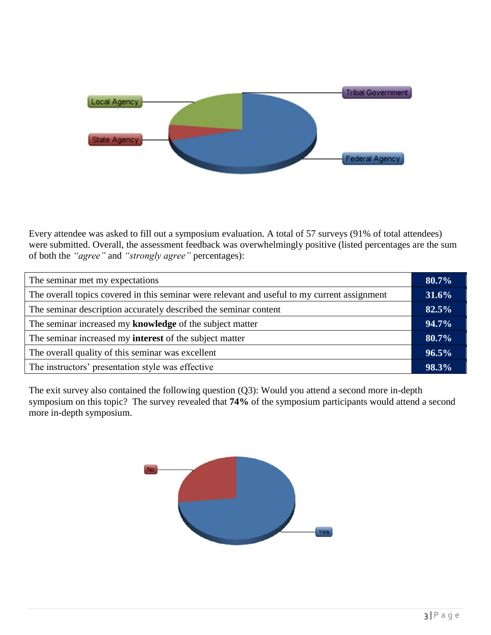

Every attendee was asked to fill out a symposium evaluation. A total of 57 surveys (91% of total attendees) were submitted. Overall, the assessment feedback was overwhelmingly positive (listed percentages are the sum of both the *"agree"* and *"strongly agree"* percentages):

| The seminar met my expectations                                                              |  |
|----------------------------------------------------------------------------------------------|--|
| The overall topics covered in this seminar were relevant and useful to my current assignment |  |
| The seminar description accurately described the seminar content                             |  |
| The seminar increased my knowledge of the subject matter                                     |  |
| The seminar increased my <b>interest</b> of the subject matter                               |  |
| The overall quality of this seminar was excellent                                            |  |
| The instructors' presentation style was effective                                            |  |

The exit survey also contained the following question (Q3): Would you attend a second more in-depth symposium on this topic? The survey revealed that **74%** of the symposium participants would attend a second more in-depth symposium.

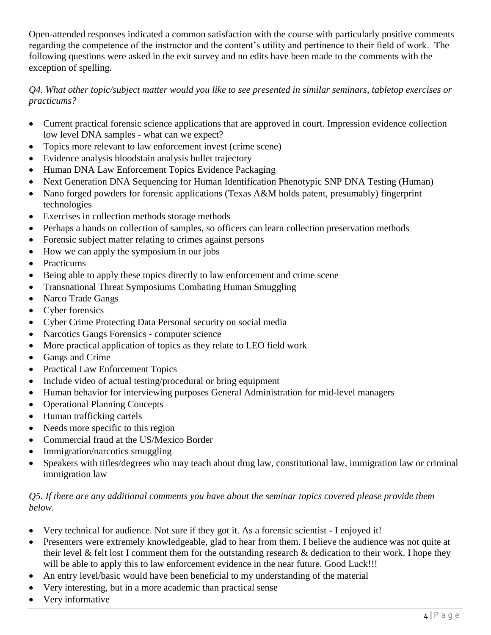Open-attended responses indicated a common satisfaction with the course with particularly positive comments regarding the competence of the instructor and the content's utility and pertinence to their field of work. The following questions were asked in the exit survey and no edits have been made to the comments with the exception of spelling.

#### *Q4. What other topic/subject matter would you like to see presented in similar seminars, tabletop exercises or practicums?*

- Current practical forensic science applications that are approved in court. Impression evidence collection low level DNA samples - what can we expect?
- Topics more relevant to law enforcement invest (crime scene)
- Evidence analysis bloodstain analysis bullet trajectory
- Human DNA Law Enforcement Topics Evidence Packaging
- Next Generation DNA Sequencing for Human Identification Phenotypic SNP DNA Testing (Human)
- Nano forged powders for forensic applications (Texas A&M holds patent, presumably) fingerprint technologies
- Exercises in collection methods storage methods
- Perhaps a hands on collection of samples, so officers can learn collection preservation methods
- Forensic subject matter relating to crimes against persons
- How we can apply the symposium in our jobs
- Practicums
- Being able to apply these topics directly to law enforcement and crime scene
- Transnational Threat Symposiums Combating Human Smuggling
- Narco Trade Gangs
- Cyber forensics
- Cyber Crime Protecting Data Personal security on social media
- Narcotics Gangs Forensics computer science
- More practical application of topics as they relate to LEO field work
- Gangs and Crime
- Practical Law Enforcement Topics
- Include video of actual testing/procedural or bring equipment
- Human behavior for interviewing purposes General Administration for mid-level managers
- Operational Planning Concepts
- Human trafficking cartels
- Needs more specific to this region
- Commercial fraud at the US/Mexico Border
- Immigration/narcotics smuggling
- Speakers with titles/degrees who may teach about drug law, constitutional law, immigration law or criminal immigration law

#### *Q5. If there are any additional comments you have about the seminar topics covered please provide them below.*

- Very technical for audience. Not sure if they got it. As a forensic scientist I enjoyed it!
- Presenters were extremely knowledgeable, glad to hear from them. I believe the audience was not quite at their level & felt lost I comment them for the outstanding research & dedication to their work. I hope they will be able to apply this to law enforcement evidence in the near future. Good Luck!!!
- An entry level/basic would have been beneficial to my understanding of the material
- Very interesting, but in a more academic than practical sense
- Very informative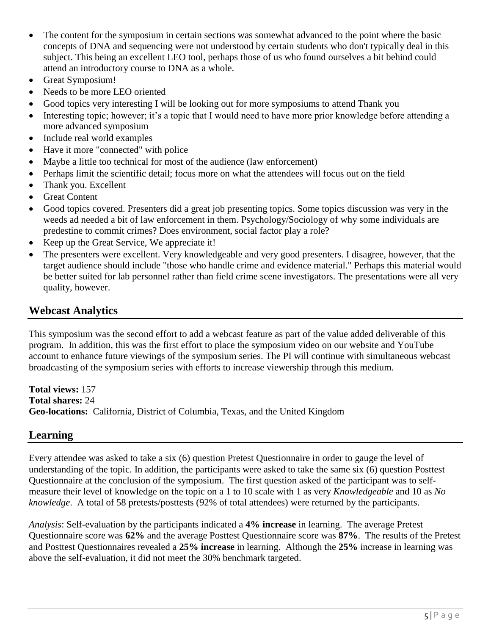- The content for the symposium in certain sections was somewhat advanced to the point where the basic concepts of DNA and sequencing were not understood by certain students who don't typically deal in this subject. This being an excellent LEO tool, perhaps those of us who found ourselves a bit behind could attend an introductory course to DNA as a whole.
- Great Symposium!
- Needs to be more LEO oriented
- Good topics very interesting I will be looking out for more symposiums to attend Thank you
- Interesting topic; however; it's a topic that I would need to have more prior knowledge before attending a more advanced symposium
- Include real world examples
- Have it more "connected" with police
- Maybe a little too technical for most of the audience (law enforcement)
- Perhaps limit the scientific detail; focus more on what the attendees will focus out on the field
- Thank you. Excellent
- Great Content
- Good topics covered. Presenters did a great job presenting topics. Some topics discussion was very in the weeds ad needed a bit of law enforcement in them. Psychology/Sociology of why some individuals are predestine to commit crimes? Does environment, social factor play a role?
- Keep up the Great Service, We appreciate it!
- The presenters were excellent. Very knowledgeable and very good presenters. I disagree, however, that the target audience should include "those who handle crime and evidence material." Perhaps this material would be better suited for lab personnel rather than field crime scene investigators. The presentations were all very quality, however.

# **Webcast Analytics**

This symposium was the second effort to add a webcast feature as part of the value added deliverable of this program. In addition, this was the first effort to place the symposium video on our website and YouTube account to enhance future viewings of the symposium series. The PI will continue with simultaneous webcast broadcasting of the symposium series with efforts to increase viewership through this medium.

**Total views:** 157 **Total shares:** 24 **Geo-locations:** California, District of Columbia, Texas, and the United Kingdom

## **Learning**

Every attendee was asked to take a six (6) question Pretest Questionnaire in order to gauge the level of understanding of the topic. In addition, the participants were asked to take the same six (6) question Posttest Questionnaire at the conclusion of the symposium. The first question asked of the participant was to selfmeasure their level of knowledge on the topic on a 1 to 10 scale with 1 as very *Knowledgeable* and 10 as *No knowledge*. A total of 58 pretests/posttests (92% of total attendees) were returned by the participants.

*Analysis*: Self-evaluation by the participants indicated a **4% increase** in learning. The average Pretest Questionnaire score was **62%** and the average Posttest Questionnaire score was **87%**. The results of the Pretest and Posttest Questionnaires revealed a **25% increase** in learning. Although the **25%** increase in learning was above the self-evaluation, it did not meet the 30% benchmark targeted.